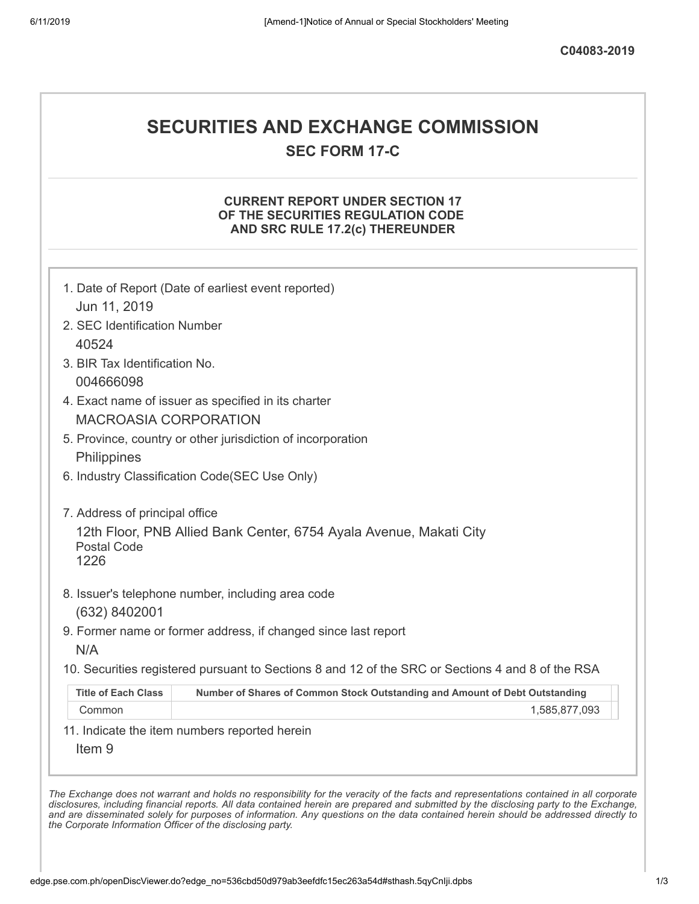# **SECURITIES AND EXCHANGE COMMISSION**

**SEC FORM 17-C**

#### **CURRENT REPORT UNDER SECTION 17 OF THE SECURITIES REGULATION CODE AND SRC RULE 17.2(c) THEREUNDER**

|                                | 1. Date of Report (Date of earliest event reported)                                               |
|--------------------------------|---------------------------------------------------------------------------------------------------|
| Jun 11, 2019                   |                                                                                                   |
| 2. SEC Identification Number   |                                                                                                   |
| 40524                          |                                                                                                   |
| 3. BIR Tax Identification No.  |                                                                                                   |
| 004666098                      |                                                                                                   |
|                                | 4. Exact name of issuer as specified in its charter                                               |
| <b>MACROASIA CORPORATION</b>   |                                                                                                   |
|                                | 5. Province, country or other jurisdiction of incorporation                                       |
| Philippines                    |                                                                                                   |
|                                | 6. Industry Classification Code(SEC Use Only)                                                     |
| 7. Address of principal office |                                                                                                   |
| <b>Postal Code</b><br>1226     | 12th Floor, PNB Allied Bank Center, 6754 Ayala Avenue, Makati City                                |
|                                | 8. Issuer's telephone number, including area code                                                 |
| (632) 8402001                  |                                                                                                   |
| N/A                            | 9. Former name or former address, if changed since last report                                    |
|                                | 10. Securities registered pursuant to Sections 8 and 12 of the SRC or Sections 4 and 8 of the RSA |
| <b>Title of Each Class</b>     | Number of Shares of Common Stock Outstanding and Amount of Debt Outstanding                       |
| Common                         | 1,585,877,093                                                                                     |
|                                | 11. Indicate the item numbers reported herein                                                     |

and are disseminated solely for purposes of information. Any questions on the data contained herein should be addressed directly to

*the Corporate Information Officer of the disclosing party.*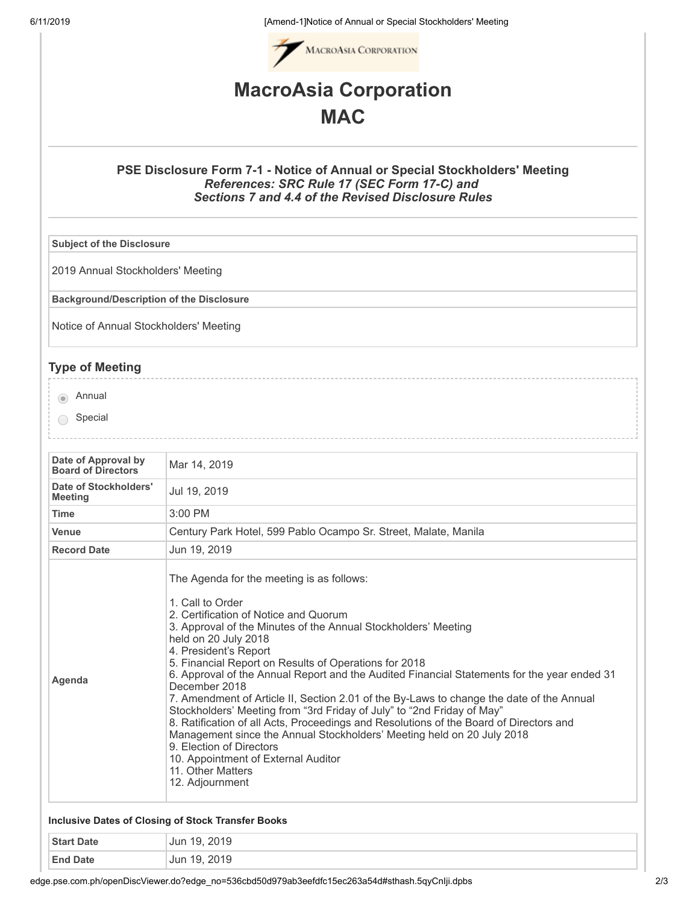6/11/2019 [Amend-1]Notice of Annual or Special Stockholders' Meeting



## **MacroAsia Corporation MAC**

#### **PSE Disclosure Form 7-1 - Notice of Annual or Special Stockholders' Meeting** *References: SRC Rule 17 (SEC Form 17-C) and Sections 7 and 4.4 of the Revised Disclosure Rules*

**Subject of the Disclosure**

2019 Annual Stockholders' Meeting

**Background/Description of the Disclosure**

Notice of Annual Stockholders' Meeting

### **Type of Meeting**

**Annual** 

◯ Special

| Date of Approval by<br><b>Board of Directors</b> | Mar 14, 2019                                                                                                                                                                                                                                                                                                                                                                                                                                                                                                                                                                                                                                                                                                                                                                                                                                            |
|--------------------------------------------------|---------------------------------------------------------------------------------------------------------------------------------------------------------------------------------------------------------------------------------------------------------------------------------------------------------------------------------------------------------------------------------------------------------------------------------------------------------------------------------------------------------------------------------------------------------------------------------------------------------------------------------------------------------------------------------------------------------------------------------------------------------------------------------------------------------------------------------------------------------|
| Date of Stockholders'<br><b>Meeting</b>          | Jul 19, 2019                                                                                                                                                                                                                                                                                                                                                                                                                                                                                                                                                                                                                                                                                                                                                                                                                                            |
| <b>Time</b>                                      | $3:00$ PM                                                                                                                                                                                                                                                                                                                                                                                                                                                                                                                                                                                                                                                                                                                                                                                                                                               |
| <b>Venue</b>                                     | Century Park Hotel, 599 Pablo Ocampo Sr. Street, Malate, Manila                                                                                                                                                                                                                                                                                                                                                                                                                                                                                                                                                                                                                                                                                                                                                                                         |
| <b>Record Date</b>                               | Jun 19, 2019                                                                                                                                                                                                                                                                                                                                                                                                                                                                                                                                                                                                                                                                                                                                                                                                                                            |
| Agenda                                           | The Agenda for the meeting is as follows:<br>1. Call to Order<br>2. Certification of Notice and Quorum<br>3. Approval of the Minutes of the Annual Stockholders' Meeting<br>held on 20 July 2018<br>4. President's Report<br>5. Financial Report on Results of Operations for 2018<br>6. Approval of the Annual Report and the Audited Financial Statements for the year ended 31<br>December 2018<br>7. Amendment of Article II, Section 2.01 of the By-Laws to change the date of the Annual<br>Stockholders' Meeting from "3rd Friday of July" to "2nd Friday of May"<br>8. Ratification of all Acts, Proceedings and Resolutions of the Board of Directors and<br>Management since the Annual Stockholders' Meeting held on 20 July 2018<br>9. Election of Directors<br>10. Appointment of External Auditor<br>11. Other Matters<br>12. Adjournment |

#### **Inclusive Dates of Closing of Stock Transfer Books**

| <b>Start Date</b>    | 2019<br>Jun<br>1 Q |
|----------------------|--------------------|
| <b>End Date</b><br>. | Jun 19, 2019       |